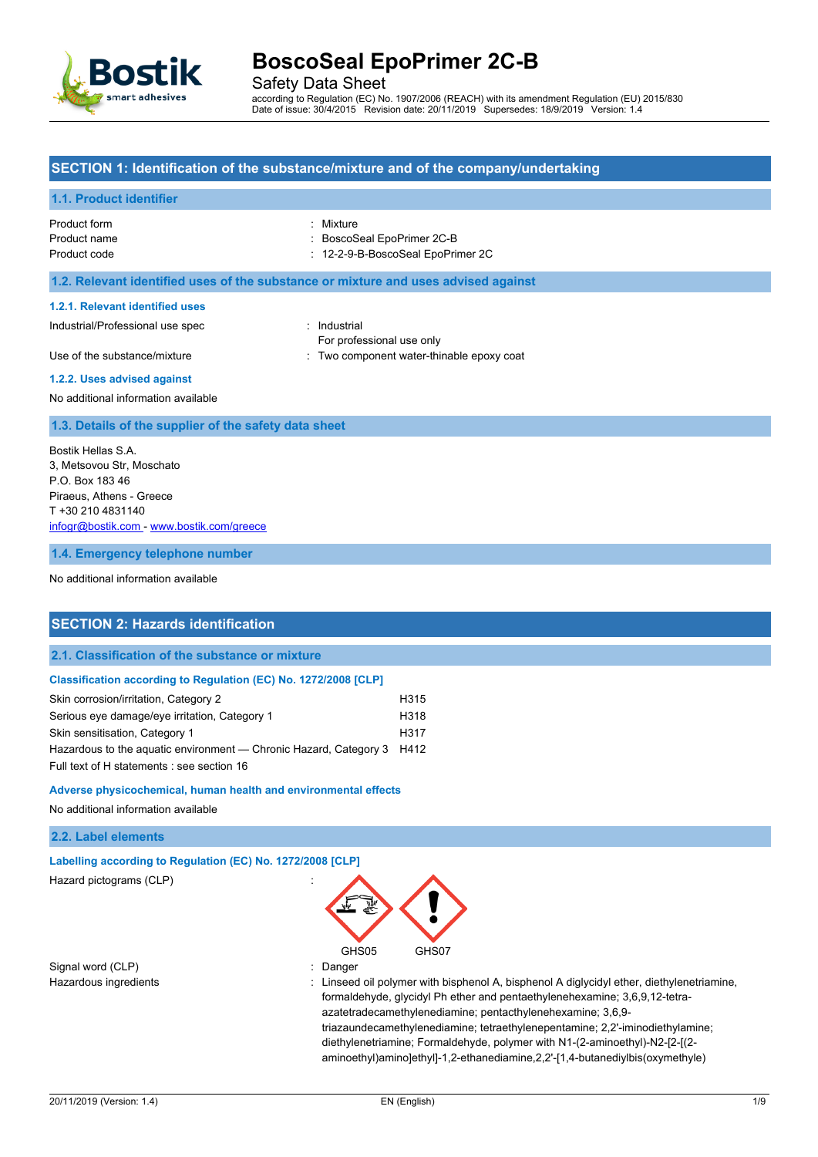

Safety Data Sheet

according to Regulation (EC) No. 1907/2006 (REACH) with its amendment Regulation (EU) 2015/830 Date of issue: 30/4/2015 Revision date: 20/11/2019 Supersedes: 18/9/2019 Version: 1.4

## **SECTION 1: Identification of the substance/mixture and of the company/undertaking**

## **1.1. Product identifier**

| Product form | : Mixture                  |
|--------------|----------------------------|
| Product name | : BoscoSeal EpoPrimer 2C-B |

Product code : 12-2-9-B-BoscoSeal EpoPrimer 2C

#### **1.2. Relevant identified uses of the substance or mixture and uses advised against**

#### **1.2.1. Relevant identified uses**

Industrial/Professional use spec : Industrial

For professional use only

Use of the substance/mixture in the substance of the substance of the substance of the substance of the substance of the substance of the substance of the substance of the substance of the substance of the substance of the

#### **1.2.2. Uses advised against**

No additional information available

#### **1.3. Details of the supplier of the safety data sheet**

Bostik Hellas S.A. 3, Metsovou Str, Moschato P.O. Box 183 46 Piraeus, Athens - Greece T +30 210 4831140 [infogr@bostik.com](mailto:infogr@bostik.com) - <www.bostik.com/greece>

**1.4. Emergency telephone number**

No additional information available

## **SECTION 2: Hazards identification**

### **2.1. Classification of the substance or mixture**

#### **Classification according to Regulation (EC) No. 1272/2008 [CLP]**

| Skin corrosion/irritation, Category 2                                  | H315 |
|------------------------------------------------------------------------|------|
| Serious eye damage/eye irritation, Category 1                          | H318 |
| Skin sensitisation, Category 1                                         | H317 |
| Hazardous to the aguatic environment — Chronic Hazard, Category 3 H412 |      |
| Full text of H statements : see section 16                             |      |

#### **Adverse physicochemical, human health and environmental effects**

No additional information available

### **2.2. Label elements**

**Labelling according to Regulation (EC) No. 1272/2008 [CLP]** Hazard pictograms (CLP) :

Signal word (CLP)  $\qquad \qquad$ : Danger



Hazardous ingredients **included and the Clination** of Linseed oil polymer with bisphenol A, bisphenol A diglycidyl ether, diethylenetriamine, formaldehyde, glycidyl Ph ether and pentaethylenehexamine; 3,6,9,12-tetraazatetradecamethylenediamine; pentacthylenehexamine; 3,6,9 triazaundecamethylenediamine; tetraethylenepentamine; 2,2'-iminodiethylamine; diethylenetriamine; Formaldehyde, polymer with N1-(2-aminoethyl)-N2-[2-[(2 aminoethyl)amino]ethyl]-1,2-ethanediamine,2,2'-[1,4-butanediylbis(oxymethyle)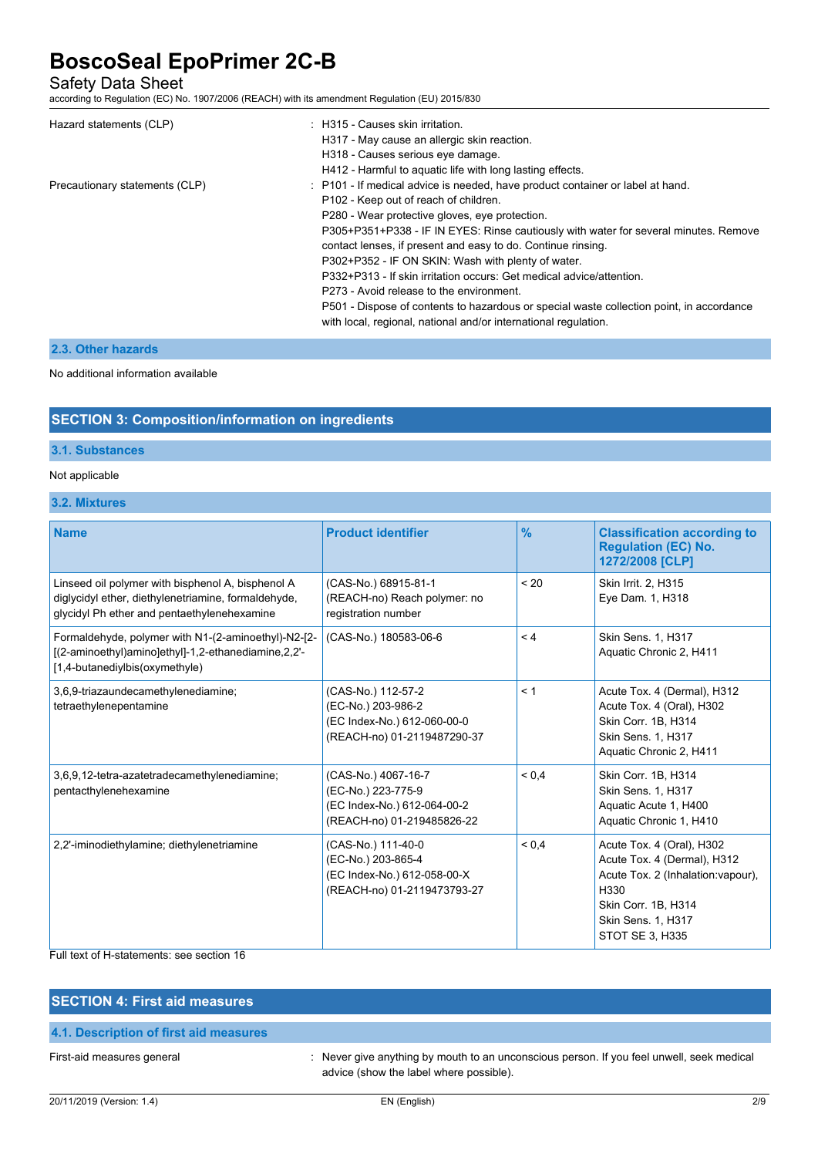Safety Data Sheet

according to Regulation (EC) No. 1907/2006 (REACH) with its amendment Regulation (EU) 2015/830

| Hazard statements (CLP)        | : H315 - Causes skin irritation.                                                                                                                            |
|--------------------------------|-------------------------------------------------------------------------------------------------------------------------------------------------------------|
|                                | H317 - May cause an allergic skin reaction.                                                                                                                 |
|                                | H318 - Causes serious eye damage.                                                                                                                           |
|                                | H412 - Harmful to aquatic life with long lasting effects.                                                                                                   |
| Precautionary statements (CLP) | : P101 - If medical advice is needed, have product container or label at hand.                                                                              |
|                                | P102 - Keep out of reach of children.                                                                                                                       |
|                                | P280 - Wear protective gloves, eye protection.                                                                                                              |
|                                | P305+P351+P338 - IF IN EYES: Rinse cautiously with water for several minutes. Remove                                                                        |
|                                | contact lenses, if present and easy to do. Continue rinsing.                                                                                                |
|                                | P302+P352 - IF ON SKIN: Wash with plenty of water.                                                                                                          |
|                                | P332+P313 - If skin irritation occurs: Get medical advice/attention.                                                                                        |
|                                | P273 - Avoid release to the environment.                                                                                                                    |
|                                | P501 - Dispose of contents to hazardous or special waste collection point, in accordance<br>with local, regional, national and/or international regulation. |
|                                |                                                                                                                                                             |

## **2.3. Other hazards**

#### No additional information available

## **SECTION 3: Composition/information on ingredients**

### **3.1. Substances**

## Not applicable

## **3.2. Mixtures**

| <b>Name</b>                                                                                                                                             | <b>Product identifier</b>                                                                              | $\frac{9}{6}$ | <b>Classification according to</b><br><b>Regulation (EC) No.</b><br>1272/2008 [CLP]                                                                                          |
|---------------------------------------------------------------------------------------------------------------------------------------------------------|--------------------------------------------------------------------------------------------------------|---------------|------------------------------------------------------------------------------------------------------------------------------------------------------------------------------|
| Linseed oil polymer with bisphenol A, bisphenol A<br>diglycidyl ether, diethylenetriamine, formaldehyde,<br>glycidyl Ph ether and pentaethylenehexamine | (CAS-No.) 68915-81-1<br>(REACH-no) Reach polymer: no<br>registration number                            | < 20          | Skin Irrit. 2, H315<br>Eye Dam. 1, H318                                                                                                                                      |
| Formaldehyde, polymer with N1-(2-aminoethyl)-N2-[2-<br>[(2-aminoethyl)amino]ethyl]-1,2-ethanediamine,2,2'-<br>[1,4-butanediylbis(oxymethyle)            | (CAS-No.) 180583-06-6                                                                                  | < 4           | Skin Sens. 1, H317<br>Aquatic Chronic 2, H411                                                                                                                                |
| 3,6,9-triazaundecamethylenediamine;<br>tetraethylenepentamine                                                                                           | (CAS-No.) 112-57-2<br>(EC-No.) 203-986-2<br>(EC Index-No.) 612-060-00-0<br>(REACH-no) 01-2119487290-37 | < 1           | Acute Tox. 4 (Dermal), H312<br>Acute Tox. 4 (Oral), H302<br>Skin Corr. 1B, H314<br>Skin Sens. 1, H317<br>Aquatic Chronic 2, H411                                             |
| 3,6,9,12-tetra-azatetradecamethylenediamine;<br>pentacthylenehexamine                                                                                   | (CAS-No.) 4067-16-7<br>(EC-No.) 223-775-9<br>(EC Index-No.) 612-064-00-2<br>(REACH-no) 01-219485826-22 | ${}_{0.4}$    | Skin Corr. 1B, H314<br>Skin Sens. 1, H317<br>Aquatic Acute 1, H400<br>Aquatic Chronic 1, H410                                                                                |
| 2,2'-iminodiethylamine; diethylenetriamine                                                                                                              | (CAS-No.) 111-40-0<br>(EC-No.) 203-865-4<br>(EC Index-No.) 612-058-00-X<br>(REACH-no) 01-2119473793-27 | ${}_{0.4}$    | Acute Tox. 4 (Oral), H302<br>Acute Tox. 4 (Dermal), H312<br>Acute Tox. 2 (Inhalation:vapour),<br>H330<br>Skin Corr. 1B, H314<br>Skin Sens. 1, H317<br><b>STOT SE 3, H335</b> |

### Full text of H-statements: see section 16

# **SECTION 4: First aid measures 4.1. Description of first aid measures**

First-aid measures general in the state of the state of the ver give anything by mouth to an unconscious person. If you feel unwell, seek medical advice (show the label where possible).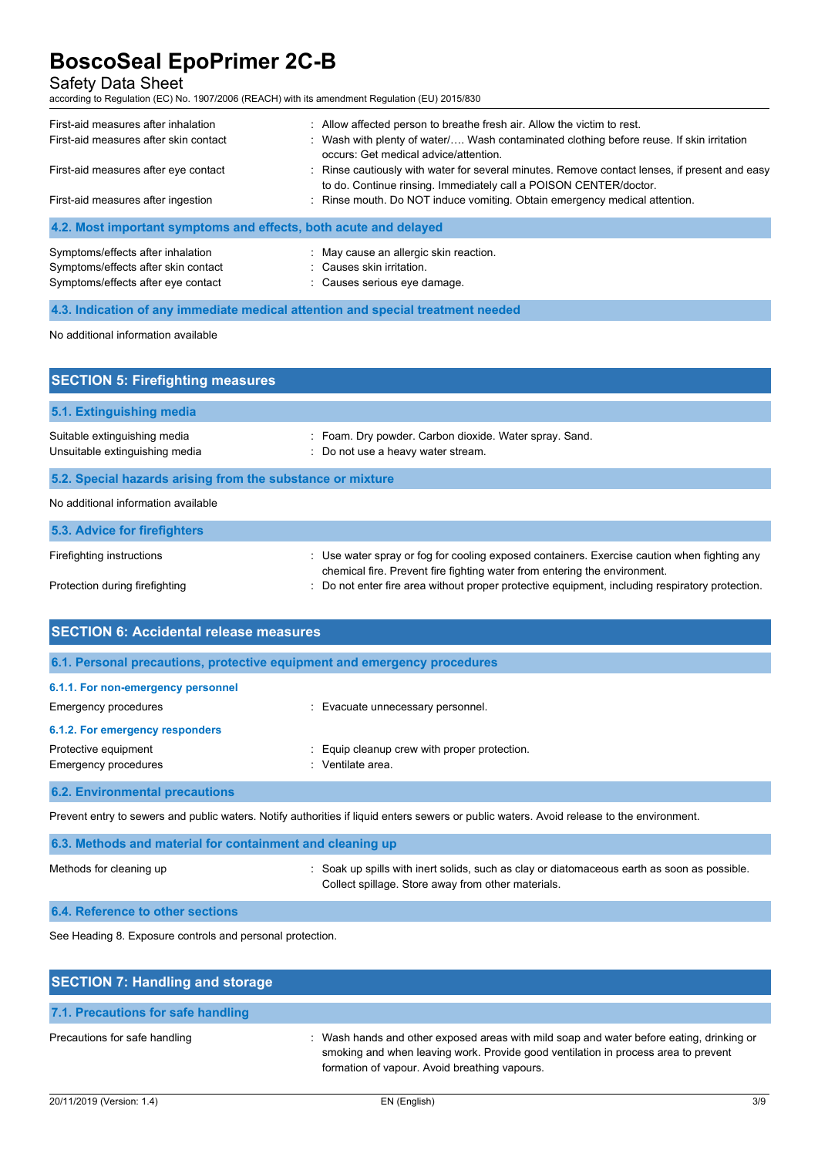## Safety Data Sheet

according to Regulation (EC) No. 1907/2006 (REACH) with its amendment Regulation (EU) 2015/830

Symptoms/effects after eye contact : Causes serious eye damage.

| First-aid measures after inhalation                              | : Allow affected person to breathe fresh air. Allow the victim to rest.                                                                                            |
|------------------------------------------------------------------|--------------------------------------------------------------------------------------------------------------------------------------------------------------------|
| First-aid measures after skin contact                            | : Wash with plenty of water/ Wash contaminated clothing before reuse. If skin irritation<br>occurs: Get medical advice/attention.                                  |
| First-aid measures after eye contact                             | : Rinse cautiously with water for several minutes. Remove contact lenses, if present and easy<br>to do. Continue rinsing. Immediately call a POISON CENTER/doctor. |
| First-aid measures after ingestion                               | : Rinse mouth. Do NOT induce vomiting. Obtain emergency medical attention.                                                                                         |
| 4.2. Most important symptoms and effects, both acute and delayed |                                                                                                                                                                    |
| Symptoms/effects after inhalation                                | : May cause an allergic skin reaction.                                                                                                                             |
| Symptoms/effects after skin contact                              | : Causes skin irritation.                                                                                                                                          |

**4.3. Indication of any immediate medical attention and special treatment needed** No additional information available

| <b>SECTION 5: Firefighting measures</b>                        |                                                                                                                                                                          |  |
|----------------------------------------------------------------|--------------------------------------------------------------------------------------------------------------------------------------------------------------------------|--|
| 5.1. Extinguishing media                                       |                                                                                                                                                                          |  |
| Suitable extinguishing media<br>Unsuitable extinguishing media | : Foam. Dry powder. Carbon dioxide. Water spray. Sand.<br>: Do not use a heavy water stream.                                                                             |  |
| 5.2. Special hazards arising from the substance or mixture     |                                                                                                                                                                          |  |
| No additional information available                            |                                                                                                                                                                          |  |
| 5.3. Advice for firefighters                                   |                                                                                                                                                                          |  |
| Firefighting instructions                                      | : Use water spray or fog for cooling exposed containers. Exercise caution when fighting any<br>chemical fire. Prevent fire fighting water from entering the environment. |  |
| Protection during firefighting                                 | Do not enter fire area without proper protective equipment, including respiratory protection.                                                                            |  |

| <b>SECTION 6: Accidental release measures</b>                                                                                             |                                                                   |
|-------------------------------------------------------------------------------------------------------------------------------------------|-------------------------------------------------------------------|
| 6.1. Personal precautions, protective equipment and emergency procedures                                                                  |                                                                   |
| 6.1.1. For non-emergency personnel                                                                                                        |                                                                   |
| <b>Emergency procedures</b>                                                                                                               | : Evacuate unnecessary personnel.                                 |
| 6.1.2. For emergency responders                                                                                                           |                                                                   |
| Protective equipment<br><b>Emergency procedures</b>                                                                                       | : Equip cleanup crew with proper protection.<br>: Ventilate area. |
| <b>6.2. Environmental precautions</b>                                                                                                     |                                                                   |
| Prevent entry to sewers and public waters. Notify authorities if liquid enters sewers or public waters. Avoid release to the environment. |                                                                   |

| 6.3. Methods and material for containment and cleaning up |                                                                                                                                                   |  |
|-----------------------------------------------------------|---------------------------------------------------------------------------------------------------------------------------------------------------|--|
| Methods for cleaning up                                   | : Soak up spills with inert solids, such as clay or diatomaceous earth as soon as possible.<br>Collect spillage. Store away from other materials. |  |

**6.4. Reference to other sections**

See Heading 8. Exposure controls and personal protection.

| <b>SECTION 7: Handling and storage</b> |                                                                                                                                                                                                                                 |
|----------------------------------------|---------------------------------------------------------------------------------------------------------------------------------------------------------------------------------------------------------------------------------|
| 7.1. Precautions for safe handling     |                                                                                                                                                                                                                                 |
| Precautions for safe handling          | : Wash hands and other exposed areas with mild soap and water before eating, drinking or<br>smoking and when leaving work. Provide good ventilation in process area to prevent<br>formation of vapour. Avoid breathing vapours. |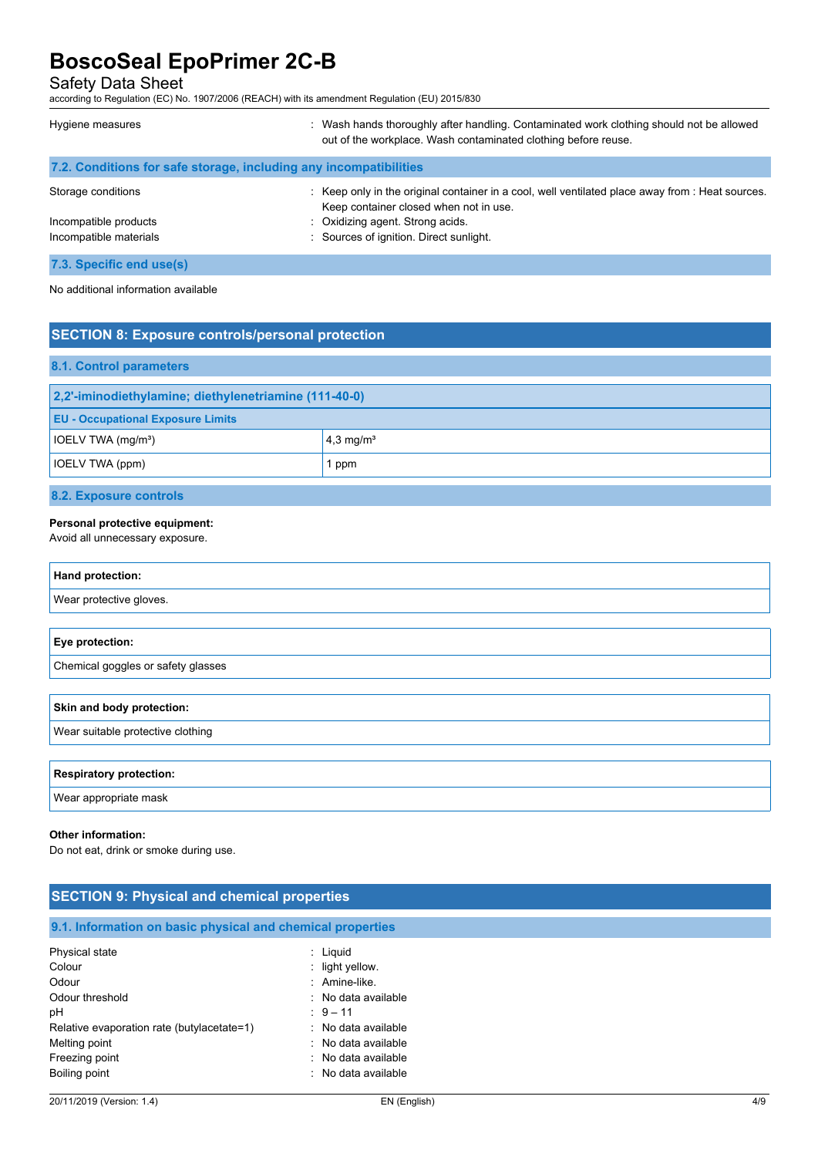Safety Data Sheet

according to Regulation (EC) No. 1907/2006 (REACH) with its amendment Regulation (EU) 2015/830

| Hygiene measures                                                  | : Wash hands thoroughly after handling. Contaminated work clothing should not be allowed<br>out of the workplace. Wash contaminated clothing before reuse. |
|-------------------------------------------------------------------|------------------------------------------------------------------------------------------------------------------------------------------------------------|
| 7.2. Conditions for safe storage, including any incompatibilities |                                                                                                                                                            |
| Storage conditions                                                | : Keep only in the original container in a cool, well ventilated place away from : Heat sources.<br>Keep container closed when not in use.                 |
| Incompatible products                                             | : Oxidizing agent. Strong acids.                                                                                                                           |
| Incompatible materials                                            | : Sources of ignition. Direct sunlight.                                                                                                                    |
| 7.3. Specific end use(s)                                          |                                                                                                                                                            |

No additional information available

## **SECTION 8: Exposure controls/personal protection**

| 8.1. Control parameters                               |                         |
|-------------------------------------------------------|-------------------------|
| 2,2'-iminodiethylamine; diethylenetriamine (111-40-0) |                         |
| <b>EU - Occupational Exposure Limits</b>              |                         |
| IOELV TWA (mg/m <sup>3</sup> )                        | $4,3$ mg/m <sup>3</sup> |
| <b>IOELV TWA (ppm)</b>                                | 1 ppm                   |
|                                                       |                         |

**8.2. Exposure controls**

#### **Personal protective equipment:**

Avoid all unnecessary exposure.

| Hand protection:                   |
|------------------------------------|
| Wear protective gloves.            |
|                                    |
| Eye protection:                    |
| Chemical goggles or safety glasses |
|                                    |
| Skin and body protection:          |
| Wear suitable protective clothing  |
|                                    |
| <b>Respiratory protection:</b>     |
| Wear appropriate mask              |

#### **Other information:**

Do not eat, drink or smoke during use.

| <b>SECTION 9: Physical and chemical properties</b>                                             |                                                                                                |  |
|------------------------------------------------------------------------------------------------|------------------------------------------------------------------------------------------------|--|
| 9.1. Information on basic physical and chemical properties                                     |                                                                                                |  |
| Physical state<br>Colour<br>Odour<br>Odour threshold<br>рH                                     | $:$ Liquid<br>$\therefore$ light yellow.<br>: Amine-like.<br>: No data available<br>$: 9 - 11$ |  |
| Relative evaporation rate (butylacetate=1)<br>Melting point<br>Freezing point<br>Boiling point | : No data available<br>: No data available<br>: No data available<br>No data available<br>٠    |  |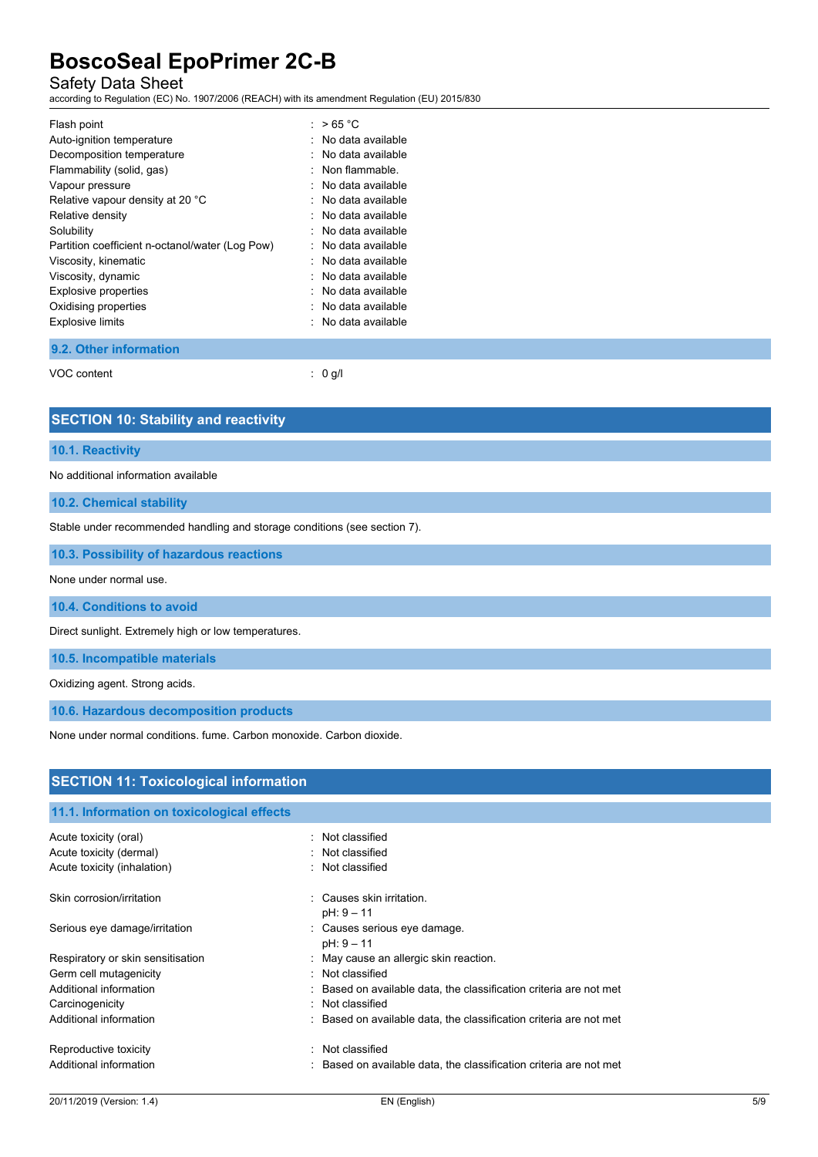## Safety Data Sheet

according to Regulation (EC) No. 1907/2006 (REACH) with its amendment Regulation (EU) 2015/830

| Flash point                                     | : $>65 °C$            |
|-------------------------------------------------|-----------------------|
| Auto-ignition temperature                       | $:$ No data available |
| Decomposition temperature                       | $:$ No data available |
| Flammability (solid, gas)                       | : Non flammable.      |
| Vapour pressure                                 | $:$ No data available |
| Relative vapour density at 20 °C                | $:$ No data available |
| Relative density                                | $:$ No data available |
| Solubility                                      | $:$ No data available |
| Partition coefficient n-octanol/water (Log Pow) | $:$ No data available |
| Viscosity, kinematic                            | $:$ No data available |
| Viscosity, dynamic                              | : No data available   |
| <b>Explosive properties</b>                     | $:$ No data available |
| Oxidising properties                            | : No data available   |
| <b>Explosive limits</b>                         | : No data available   |
|                                                 |                       |

### **9.2. Other information**

VOC content : 0 g/l

## **SECTION 10: Stability and reactivity**

#### **10.1. Reactivity**

No additional information available

**10.2. Chemical stability**

Stable under recommended handling and storage conditions (see section 7).

**10.3. Possibility of hazardous reactions**

None under normal use.

**10.4. Conditions to avoid**

Direct sunlight. Extremely high or low temperatures.

**10.5. Incompatible materials**

Oxidizing agent. Strong acids.

**10.6. Hazardous decomposition products**

None under normal conditions. fume. Carbon monoxide. Carbon dioxide.

| <b>SECTION 11: Toxicological information</b> |  |                                                                    |
|----------------------------------------------|--|--------------------------------------------------------------------|
| 11.1. Information on toxicological effects   |  |                                                                    |
|                                              |  |                                                                    |
| Acute toxicity (oral)                        |  | : Not classified                                                   |
| Acute toxicity (dermal)                      |  | : Not classified                                                   |
| Acute toxicity (inhalation)                  |  | : Not classified                                                   |
| Skin corrosion/irritation                    |  | : Causes skin irritation.                                          |
|                                              |  | $pH: 9 - 11$                                                       |
| Serious eye damage/irritation                |  | : Causes serious eye damage.                                       |
|                                              |  | $pH: 9 - 11$                                                       |
| Respiratory or skin sensitisation            |  | : May cause an allergic skin reaction.                             |
| Germ cell mutagenicity                       |  | : Not classified                                                   |
| Additional information                       |  | : Based on available data, the classification criteria are not met |
| Carcinogenicity                              |  | : Not classified                                                   |
| Additional information                       |  | : Based on available data, the classification criteria are not met |
| Reproductive toxicity                        |  | : Not classified                                                   |
| Additional information                       |  | : Based on available data, the classification criteria are not met |
|                                              |  |                                                                    |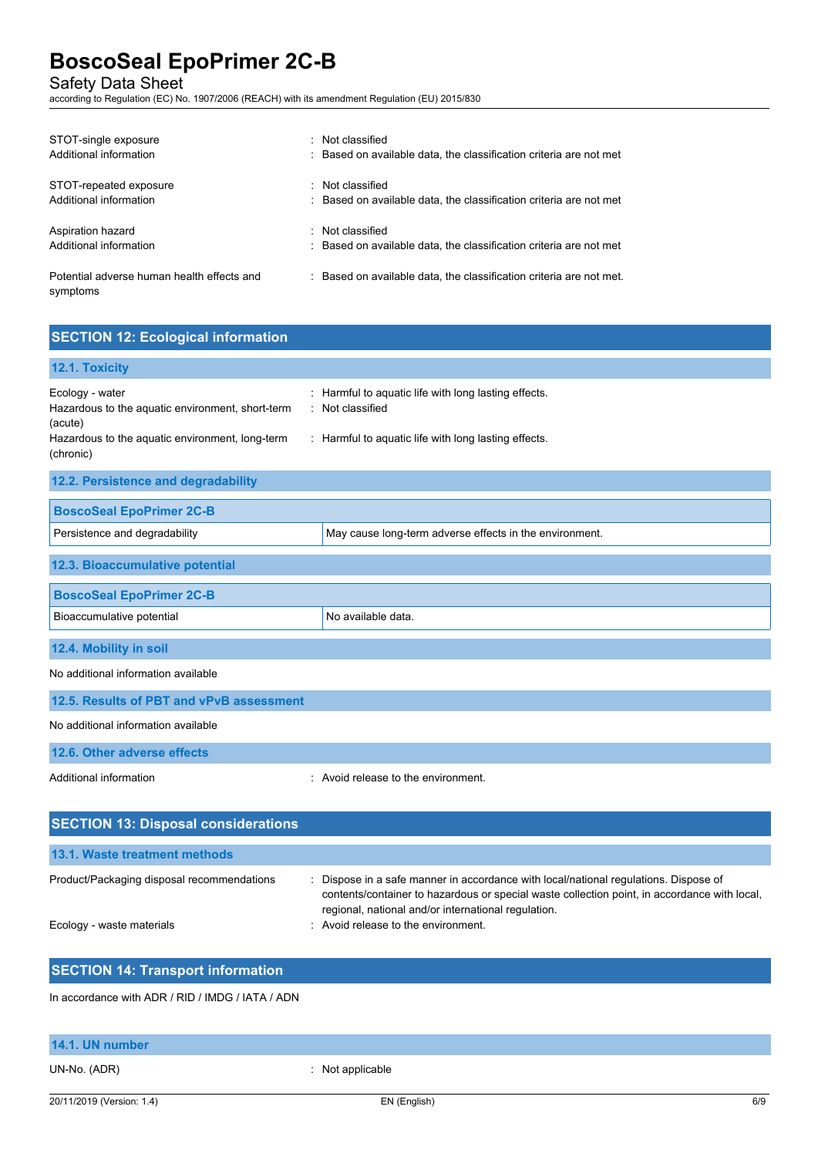Safety Data Sheet

according to Regulation (EC) No. 1907/2006 (REACH) with its amendment Regulation (EU) 2015/830

| STOT-single exposure<br>Additional information         | : Not classified<br>: Based on available data, the classification criteria are not met |
|--------------------------------------------------------|----------------------------------------------------------------------------------------|
| STOT-repeated exposure<br>Additional information       | : Not classified<br>: Based on available data, the classification criteria are not met |
| Aspiration hazard<br>Additional information            | : Not classified<br>: Based on available data, the classification criteria are not met |
| Potential adverse human health effects and<br>symptoms | : Based on available data, the classification criteria are not met.                    |

## **SECTION 12: Ecological information**

| 12.1. Toxicity                                                                                                                                 |                                                                                                                                  |
|------------------------------------------------------------------------------------------------------------------------------------------------|----------------------------------------------------------------------------------------------------------------------------------|
| Ecology - water<br>Hazardous to the aquatic environment, short-term<br>(acute)<br>Hazardous to the aquatic environment, long-term<br>(chronic) | : Harmful to aquatic life with long lasting effects.<br>: Not classified<br>: Harmful to aquatic life with long lasting effects. |
| 12.2. Persistence and degradability                                                                                                            |                                                                                                                                  |
| <b>BoscoSeal EpoPrimer 2C-B</b>                                                                                                                |                                                                                                                                  |
| Persistence and degradability                                                                                                                  | May cause long-term adverse effects in the environment.                                                                          |
| 12.3. Bioaccumulative potential                                                                                                                |                                                                                                                                  |
| <b>BoscoSeal EpoPrimer 2C-B</b>                                                                                                                |                                                                                                                                  |
| Bioaccumulative potential                                                                                                                      | No available data.                                                                                                               |
| 12.4. Mobility in soil                                                                                                                         |                                                                                                                                  |
| No additional information available                                                                                                            |                                                                                                                                  |
| 12.5. Results of PBT and vPvB assessment                                                                                                       |                                                                                                                                  |
| No additional information available                                                                                                            |                                                                                                                                  |
| 12.6. Other adverse effects                                                                                                                    |                                                                                                                                  |
| Additional information                                                                                                                         | : Avoid release to the environment.                                                                                              |
| <b>SECTION 13: Disposal considerations</b>                                                                                                     |                                                                                                                                  |

| 13.1. Waste treatment methods              |                                                                                                                                                                                                                                           |
|--------------------------------------------|-------------------------------------------------------------------------------------------------------------------------------------------------------------------------------------------------------------------------------------------|
| Product/Packaging disposal recommendations | Dispose in a safe manner in accordance with local/national regulations. Dispose of<br>contents/container to hazardous or special waste collection point, in accordance with local,<br>regional, national and/or international regulation. |
| Ecology - waste materials                  | Avoid release to the environment.                                                                                                                                                                                                         |

## **SECTION 14: Transport information**

In accordance with ADR / RID / IMDG / IATA / ADN

## **14.1. UN number**

UN-No. (ADR) **in the contract of the COV**  $\sim$  2011 **:** Not applicable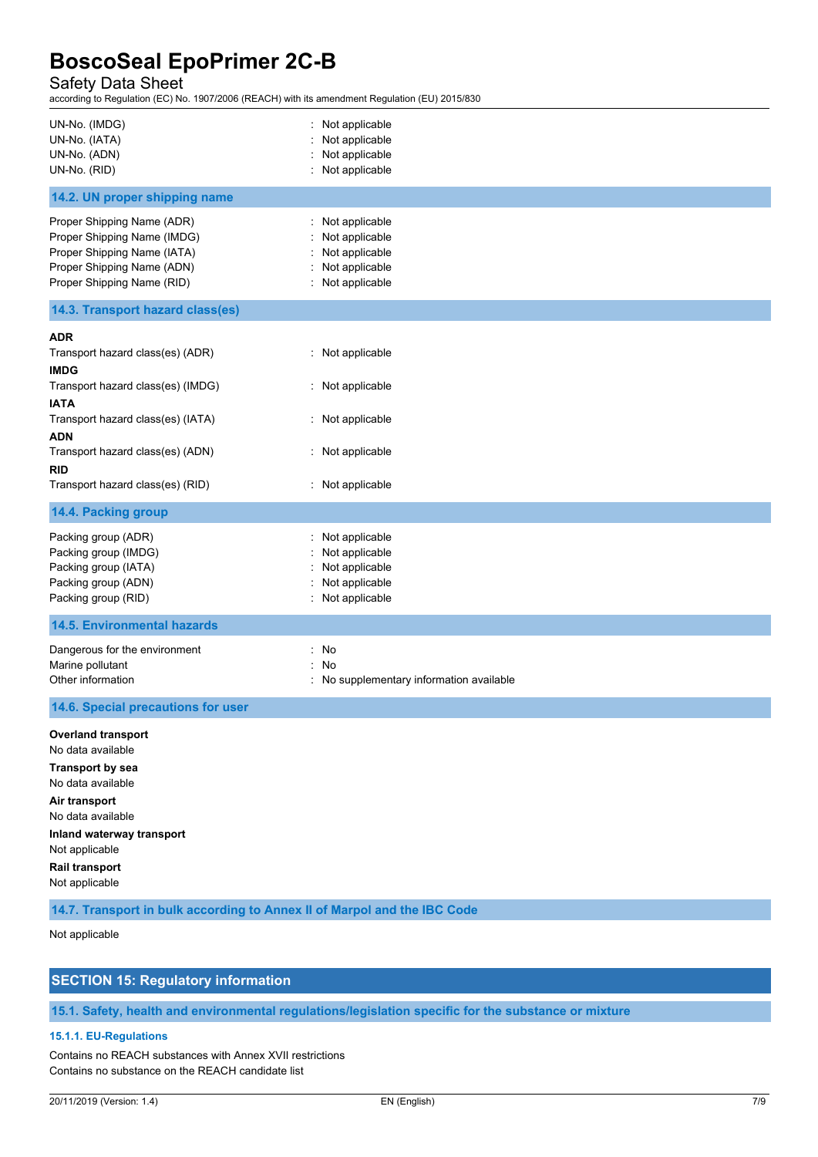## Safety Data Sheet

1907/2006 (REACH) with its amendment Regulation (EU) 2015/830

| according to Regulation (EC) No. 1907/2006 (REACH) with its amendment Regulation (EU) 2015/830                                                                                                                          |                                                                                              |
|-------------------------------------------------------------------------------------------------------------------------------------------------------------------------------------------------------------------------|----------------------------------------------------------------------------------------------|
| UN-No. (IMDG)<br>UN-No. (IATA)<br>UN-No. (ADN)<br>UN-No. (RID)                                                                                                                                                          | : Not applicable<br>: Not applicable<br>: Not applicable<br>: Not applicable                 |
| 14.2. UN proper shipping name                                                                                                                                                                                           |                                                                                              |
| Proper Shipping Name (ADR)<br>Proper Shipping Name (IMDG)<br>Proper Shipping Name (IATA)<br>Proper Shipping Name (ADN)<br>Proper Shipping Name (RID)                                                                    | : Not applicable<br>Not applicable<br>Not applicable<br>: Not applicable<br>: Not applicable |
| 14.3. Transport hazard class(es)                                                                                                                                                                                        |                                                                                              |
| <b>ADR</b><br>Transport hazard class(es) (ADR)<br><b>IMDG</b><br>Transport hazard class(es) (IMDG)<br><b>IATA</b><br>Transport hazard class(es) (IATA)<br>ADN                                                           | : Not applicable<br>: Not applicable<br>: Not applicable                                     |
| Transport hazard class(es) (ADN)<br><b>RID</b><br>Transport hazard class(es) (RID)                                                                                                                                      | : Not applicable<br>: Not applicable                                                         |
| 14.4. Packing group                                                                                                                                                                                                     |                                                                                              |
| Packing group (ADR)<br>Packing group (IMDG)<br>Packing group (IATA)<br>Packing group (ADN)<br>Packing group (RID)                                                                                                       | : Not applicable<br>Not applicable<br>Not applicable<br>Not applicable<br>: Not applicable   |
| <b>14.5. Environmental hazards</b>                                                                                                                                                                                      |                                                                                              |
| Dangerous for the environment<br>Marine pollutant<br>Other information                                                                                                                                                  | : No<br>÷.<br>No<br>: No supplementary information available                                 |
| 14.6. Special precautions for user                                                                                                                                                                                      |                                                                                              |
| <b>Overland transport</b><br>No data available<br><b>Transport by sea</b><br>No data available<br>Air transport<br>No data available<br>Inland waterway transport<br>Not applicable<br>Rail transport<br>Not applicable |                                                                                              |
| 14.7. Transport in bulk according to Annex II of Marpol and the IBC Code                                                                                                                                                |                                                                                              |
| Not applicable                                                                                                                                                                                                          |                                                                                              |

## **SECTION 15: Regulatory information**

**15.1. Safety, health and environmental regulations/legislation specific for the substance or mixture**

## **15.1.1. EU-Regulations**

Contains no REACH substances with Annex XVII restrictions Contains no substance on the REACH candidate list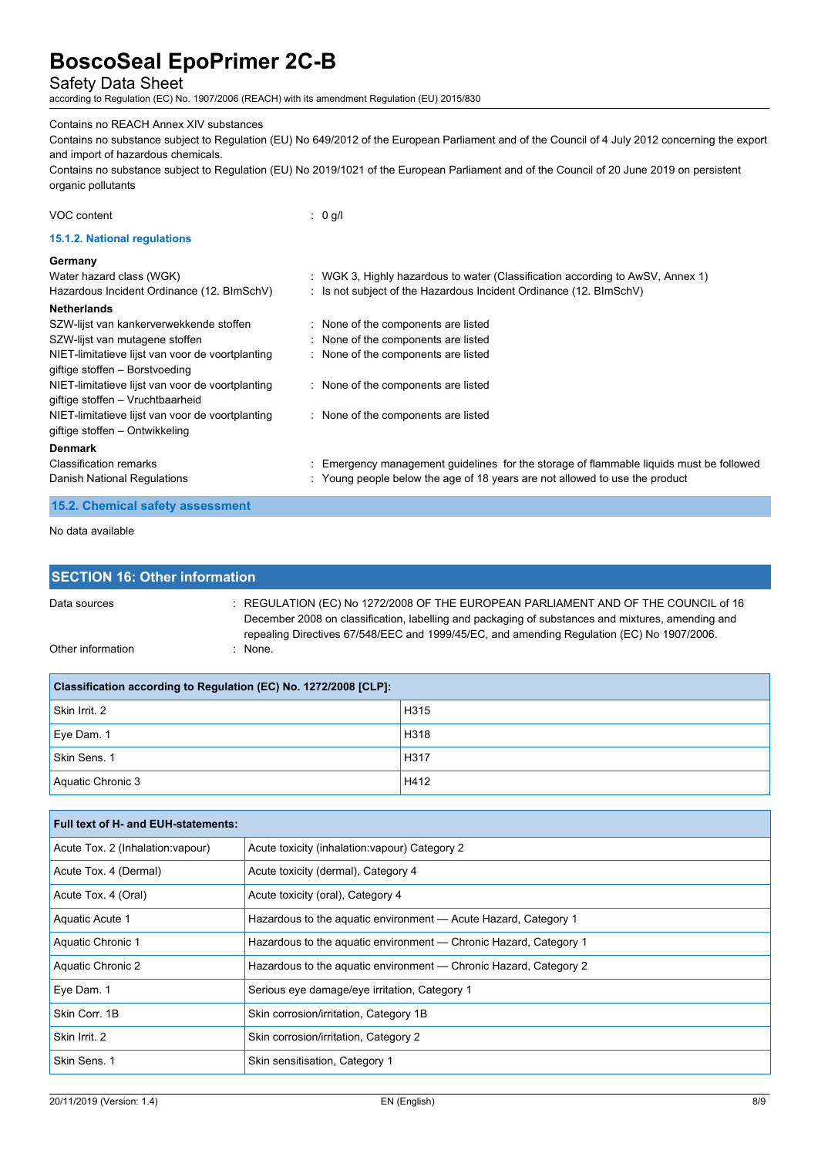## Safety Data Sheet

according to Regulation (EC) No. 1907/2006 (REACH) with its amendment Regulation (EU) 2015/830

Aquatic Chronic 3 **H412** 

## Contains no REACH Annex XIV substances

Contains no substance subject to Regulation (EU) No 649/2012 of the European Parliament and of the Council of 4 July 2012 concerning the export and import of hazardous chemicals.

Contains no substance subject to Regulation (EU) No 2019/1021 of the European Parliament and of the Council of 20 June 2019 on persistent organic pollutants

| VOC content                                      | $: 0$ g/l                                                                               |
|--------------------------------------------------|-----------------------------------------------------------------------------------------|
| 15.1.2. National regulations                     |                                                                                         |
| Germany                                          |                                                                                         |
| Water hazard class (WGK)                         | : WGK 3, Highly hazardous to water (Classification according to AwSV, Annex 1)          |
| Hazardous Incident Ordinance (12. BImSchV)       | : Is not subject of the Hazardous Incident Ordinance $(12. \text{BlmSchV})$             |
| <b>Netherlands</b>                               |                                                                                         |
| SZW-lijst van kankerverwekkende stoffen          | : None of the components are listed                                                     |
| SZW-lijst van mutagene stoffen                   | : None of the components are listed                                                     |
| NIET-limitatieve lijst van voor de voortplanting | : None of the components are listed                                                     |
| giftige stoffen - Borstvoeding                   |                                                                                         |
| NIET-limitatieve lijst van voor de voortplanting | : None of the components are listed                                                     |
| giftige stoffen – Vruchtbaarheid                 |                                                                                         |
| NIET-limitatieve lijst van voor de voortplanting | : None of the components are listed                                                     |
| giftige stoffen – Ontwikkeling                   |                                                                                         |
| <b>Denmark</b>                                   |                                                                                         |
| <b>Classification remarks</b>                    | : Emergency management guidelines for the storage of flammable liquids must be followed |
| Danish National Regulations                      | : Young people below the age of 18 years are not allowed to use the product             |
| 15.2. Chemical safety assessment                 |                                                                                         |

No data available

| <b>SECTION 16: Other information</b>                                                                                                                                                                                                                                                                      |  |      |  |
|-----------------------------------------------------------------------------------------------------------------------------------------------------------------------------------------------------------------------------------------------------------------------------------------------------------|--|------|--|
| $\pm$ REGULATION (EC) No 1272/2008 OF THE EUROPEAN PARLIAMENT AND OF THE COUNCIL of 16<br>Data sources<br>December 2008 on classification, labelling and packaging of substances and mixtures, amending and<br>repealing Directives 67/548/EEC and 1999/45/EC, and amending Regulation (EC) No 1907/2006. |  |      |  |
| Other information<br>: None.                                                                                                                                                                                                                                                                              |  |      |  |
| Classification according to Regulation (EC) No. 1272/2008 [CLP]:                                                                                                                                                                                                                                          |  |      |  |
| Skin Irrit. 2                                                                                                                                                                                                                                                                                             |  | H315 |  |
| Eye Dam. 1                                                                                                                                                                                                                                                                                                |  | H318 |  |
| Skin Sens. 1                                                                                                                                                                                                                                                                                              |  | H317 |  |

| Full text of H- and EUH-statements: |                                                                   |  |  |
|-------------------------------------|-------------------------------------------------------------------|--|--|
| Acute Tox. 2 (Inhalation: vapour)   | Acute toxicity (inhalation: vapour) Category 2                    |  |  |
| Acute Tox. 4 (Dermal)               | Acute toxicity (dermal), Category 4                               |  |  |
| Acute Tox. 4 (Oral)                 | Acute toxicity (oral), Category 4                                 |  |  |
| Aquatic Acute 1                     | Hazardous to the aquatic environment — Acute Hazard, Category 1   |  |  |
| Aquatic Chronic 1                   | Hazardous to the aguatic environment — Chronic Hazard, Category 1 |  |  |
| Aquatic Chronic 2                   | Hazardous to the aquatic environment — Chronic Hazard, Category 2 |  |  |
| Eye Dam. 1                          | Serious eye damage/eye irritation, Category 1                     |  |  |
| Skin Corr. 1B                       | Skin corrosion/irritation, Category 1B                            |  |  |
| Skin Irrit. 2                       | Skin corrosion/irritation, Category 2                             |  |  |
| Skin Sens. 1                        | Skin sensitisation, Category 1                                    |  |  |